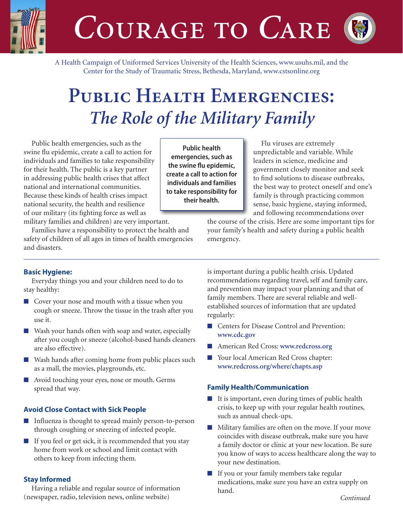

COURAGE TO CARE



A Health Campaign of Uniformed Services University of the Health Sciences, www.usuhs.mil, and the Center for the Study of Traumatic Stress, Bethesda, Maryland, www.cstsonline.org

# **Public Health Emergencies:**  *The Role of the Military Family*

Public health emergencies, such as the swine flu epidemic, create a call to action for individuals and families to take responsibility for their health. The public is a key partner in addressing public health crises that affect national and international communities. Because these kinds of health crises impact national security, the health and resilience of our military (its fighting force as well as

**Public health emergencies, such as the swine flu epidemic, create a call to action for individuals and families to take responsibility for their health.**

Flu viruses are extremely unpredictable and variable. While leaders in science, medicine and government closely monitor and seek to find solutions to disease outbreaks, the best way to protect oneself and one's family is through practicing common sense, basic hygiene, staying informed, and following recommendations over

military families and children) are very important.

Families have a responsibility to protect the health and safety of children of all ages in times of health emergencies and disasters.

the course of the crisis. Here are some important tips for your family's health and safety during a public health emergency.

## **Basic Hygiene:**

Everyday things you and your children need to do to stay healthy:

- Cover your nose and mouth with a tissue when you cough or sneeze. Throw the tissue in the trash after you use it.
- Wash your hands often with soap and water, especially after you cough or sneeze (alcohol-based hands cleaners are also effective).
- Wash hands after coming home from public places such as a mall, the movies, playgrounds, etc.
- Avoid touching your eyes, nose or mouth. Germs spread that way.

### **Avoid Close Contact with Sick People**

- Influenza is thought to spread mainly person-to-person through coughing or sneezing of infected people.
- If you feel or get sick, it is recommended that you stay home from work or school and limit contact with others to keep from infecting them.

### **Stay Informed**

Having a reliable and regular source of information (newspaper, radio, television news, online website)

is important during a public health crisis. Updated recommendations regarding travel, self and family care, and prevention may impact your planning and that of family members. There are several reliable and wellestablished sources of information that are updated regularly:

- Centers for Disease Control and Prevention: **www.cdc.gov**
- American Red Cross: **www.redcross.org**
- Your local American Red Cross chapter: **www.redcross.org/where/chapts.asp**

### **Family Health/Communication**

- It is important, even during times of public health crisis, to keep up with your regular health routines, such as annual check-ups.
- Military families are often on the move. If your move coincides with disease outbreak, make sure you have a family doctor or clinic at your new location. Be sure you know of ways to access healthcare along the way to your new destination.
- If you or your family members take regular medications, make sure you have an extra supply on hand.